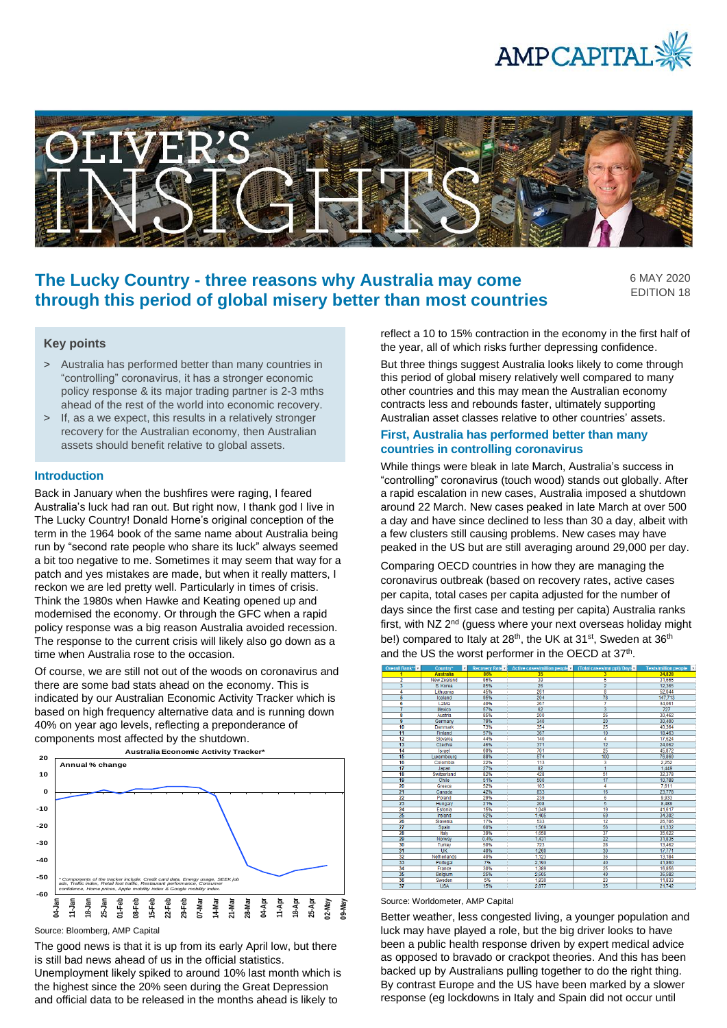



# **The Lucky Country - three reasons why Australia may come through this period of global misery better than most countries**

6 MAY 2020 EDITION 18

## **Key points**

- > Australia has performed better than many countries in "controlling" coronavirus, it has a stronger economic policy response & its major trading partner is 2-3 mths ahead of the rest of the world into economic recovery.
- > If, as a we expect, this results in a relatively stronger recovery for the Australian economy, then Australian assets should benefit relative to global assets.

#### **Introduction**

Back in January when the bushfires were raging, I feared Australia's luck had ran out. But right now, I thank god I live in The Lucky Country! Donald Horne's original conception of the term in the 1964 book of the same name about Australia being run by "second rate people who share its luck" always seemed a bit too negative to me. Sometimes it may seem that way for a patch and yes mistakes are made, but when it really matters, I reckon we are led pretty well. Particularly in times of crisis. Think the 1980s when Hawke and Keating opened up and modernised the economy. Or through the GFC when a rapid policy response was a big reason Australia avoided recession. The response to the current crisis will likely also go down as a time when Australia rose to the occasion.

Of course, we are still not out of the woods on coronavirus and there are some bad stats ahead on the economy. This is indicated by our Australian Economic Activity Tracker which is based on high frequency alternative data and is running down 40% on year ago levels, reflecting a preponderance of components most affected by the shutdown.



Source: Bloomberg, AMP Capital

The good news is that it is up from its early April low, but there is still bad news ahead of us in the official statistics.

Unemployment likely spiked to around 10% last month which is the highest since the 20% seen during the Great Depression and official data to be released in the months ahead is likely to

reflect a 10 to 15% contraction in the economy in the first half of the year, all of which risks further depressing confidence.

But three things suggest Australia looks likely to come through this period of global misery relatively well compared to many other countries and this may mean the Australian economy contracts less and rebounds faster, ultimately supporting Australian asset classes relative to other countries' assets.

## **First, Australia has performed better than many countries in controlling coronavirus**

While things were bleak in late March, Australia's success in "controlling" coronavirus (touch wood) stands out globally. After a rapid escalation in new cases, Australia imposed a shutdown around 22 March. New cases peaked in late March at over 500 a day and have since declined to less than 30 a day, albeit with a few clusters still causing problems. New cases may have peaked in the US but are still averaging around 29,000 per day.

Comparing OECD countries in how they are managing the coronavirus outbreak (based on recovery rates, active cases per capita, total cases per capita adjusted for the number of days since the first case and testing per capita) Australia ranks first, with NZ 2<sup>nd</sup> (guess where your next overseas holiday might be!) compared to Italy at 28<sup>th</sup>, the UK at 31<sup>st</sup>, Sweden at 36<sup>th</sup> and the US the worst performer in the OECD at 37<sup>th</sup>.



Source: Worldometer, AMP Capital

Better weather, less congested living, a younger population and luck may have played a role, but the big driver looks to have been a public health response driven by expert medical advice as opposed to bravado or crackpot theories. And this has been backed up by Australians pulling together to do the right thing. By contrast Europe and the US have been marked by a slower response (eg lockdowns in Italy and Spain did not occur until